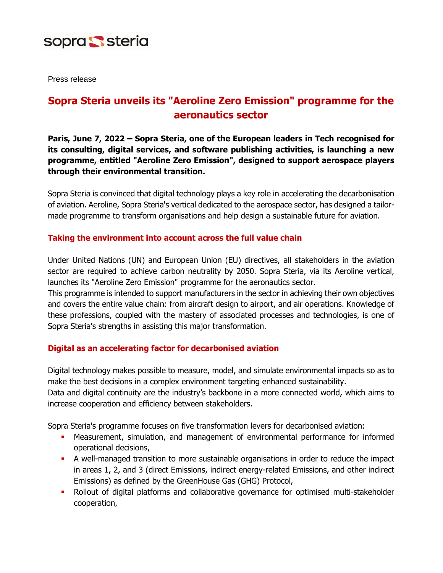

Press release

## **Sopra Steria unveils its "Aeroline Zero Emission" programme for the aeronautics sector**

**Paris, June 7, 2022 – Sopra Steria, one of the European leaders in Tech recognised for its consulting, digital services, and software publishing activities, is launching a new programme, entitled "Aeroline Zero Emission", designed to support aerospace players through their environmental transition.**

Sopra Steria is convinced that digital technology plays a key role in accelerating the decarbonisation of aviation. Aeroline, Sopra Steria's vertical dedicated to the aerospace sector, has designed a tailormade programme to transform organisations and help design a sustainable future for aviation.

## **Taking the environment into account across the full value chain**

Under United Nations (UN) and European Union (EU) directives, all stakeholders in the aviation sector are required to achieve carbon neutrality by 2050. Sopra Steria, via its Aeroline vertical, launches its "Aeroline Zero Emission" programme for the aeronautics sector.

This programme is intended to support manufacturers in the sector in achieving their own objectives and covers the entire value chain: from aircraft design to airport, and air operations. Knowledge of these professions, coupled with the mastery of associated processes and technologies, is one of Sopra Steria's strengths in assisting this major transformation.

## **Digital as an accelerating factor for decarbonised aviation**

Digital technology makes possible to measure, model, and simulate environmental impacts so as to make the best decisions in a complex environment targeting enhanced sustainability. Data and digital continuity are the industry's backbone in a more connected world, which aims to increase cooperation and efficiency between stakeholders.

Sopra Steria's programme focuses on five transformation levers for decarbonised aviation:

- Measurement, simulation, and management of environmental performance for informed operational decisions,
- A well-managed transition to more sustainable organisations in order to reduce the impact in areas 1, 2, and 3 (direct Emissions, indirect energy-related Emissions, and other indirect Emissions) as defined by the GreenHouse Gas (GHG) Protocol,
- **•** Rollout of digital platforms and collaborative governance for optimised multi-stakeholder cooperation,